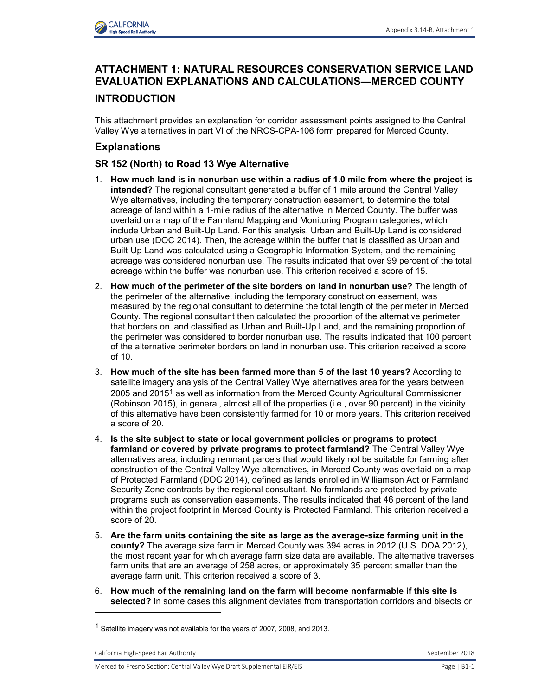

# **ATTACHMENT 1: NATURAL RESOURCES CONSERVATION SERVICE LAND EVALUATION EXPLANATIONS AND CALCULATIONS—MERCED COUNTY**

# **INTRODUCTION**

This attachment provides an explanation for corridor assessment points assigned to the Central Valley Wye alternatives in part VI of the NRCS-CPA-106 form prepared for Merced County.

# **Explanations**

## **SR 152 (North) to Road 13 Wye Alternative**

- 1. **How much land is in nonurban use within a radius of 1.0 mile from where the project is intended?** The regional consultant generated a buffer of 1 mile around the Central Valley Wye alternatives, including the temporary construction easement, to determine the total acreage of land within a 1-mile radius of the alternative in Merced County. The buffer was overlaid on a map of the Farmland Mapping and Monitoring Program categories, which include Urban and Built-Up Land. For this analysis, Urban and Built-Up Land is considered urban use (DOC 2014). Then, the acreage within the buffer that is classified as Urban and Built-Up Land was calculated using a Geographic Information System, and the remaining acreage was considered nonurban use. The results indicated that over 99 percent of the total acreage within the buffer was nonurban use. This criterion received a score of 15.
- 2. **How much of the perimeter of the site borders on land in nonurban use?** The length of the perimeter of the alternative, including the temporary construction easement, was measured by the regional consultant to determine the total length of the perimeter in Merced County. The regional consultant then calculated the proportion of the alternative perimeter that borders on land classified as Urban and Built-Up Land, and the remaining proportion of the perimeter was considered to border nonurban use. The results indicated that 100 percent of the alternative perimeter borders on land in nonurban use. This criterion received a score of 10.
- 3. **How much of the site has been farmed more than 5 of the last 10 years?** According to satellite imagery analysis of the Central Valley Wye alternatives area for the years between 2005 and 2015<sup>1</sup> as well as information from the Merced County Agricultural Commissioner (Robinson 2015), in general, almost all of the properties (i.e., over 90 percent) in the vicinity of this alternative have been consistently farmed for 10 or more years. This criterion received a score of 20.
- 4. **Is the site subject to state or local government policies or programs to protect farmland or covered by private programs to protect farmland?** The Central Valley Wye alternatives area, including remnant parcels that would likely not be suitable for farming after construction of the Central Valley Wye alternatives, in Merced County was overlaid on a map of Protected Farmland (DOC 2014), defined as lands enrolled in Williamson Act or Farmland Security Zone contracts by the regional consultant. No farmlands are protected by private programs such as conservation easements. The results indicated that 46 percent of the land within the project footprint in Merced County is Protected Farmland. This criterion received a score of 20.
- 5. **Are the farm units containing the site as large as the average-size farming unit in the county?** The average size farm in Merced County was 394 acres in 2012 (U.S. DOA 2012), the most recent year for which average farm size data are available. The alternative traverses farm units that are an average of 258 acres, or approximately 35 percent smaller than the average farm unit. This criterion received a score of 3.
- 6. **How much of the remaining land on the farm will become nonfarmable if this site is selected?** In some cases this alignment deviates from transportation corridors and bisects or

-

<sup>&</sup>lt;sup>1</sup> Satellite imagery was not available for the years of 2007, 2008, and 2013.

California High-Speed Rail Authority September 2018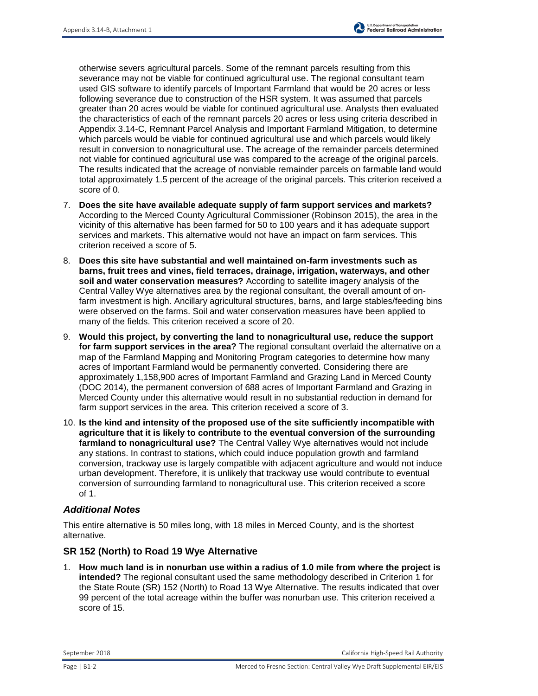otherwise severs agricultural parcels. Some of the remnant parcels resulting from this severance may not be viable for continued agricultural use. The regional consultant team used GIS software to identify parcels of Important Farmland that would be 20 acres or less following severance due to construction of the HSR system. It was assumed that parcels greater than 20 acres would be viable for continued agricultural use. Analysts then evaluated the characteristics of each of the remnant parcels 20 acres or less using criteria described in Appendix 3.14-C, Remnant Parcel Analysis and Important Farmland Mitigation, to determine which parcels would be viable for continued agricultural use and which parcels would likely result in conversion to nonagricultural use. The acreage of the remainder parcels determined not viable for continued agricultural use was compared to the acreage of the original parcels. The results indicated that the acreage of nonviable remainder parcels on farmable land would total approximately 1.5 percent of the acreage of the original parcels. This criterion received a score of 0.

- 7. **Does the site have available adequate supply of farm support services and markets?** According to the Merced County Agricultural Commissioner (Robinson 2015), the area in the vicinity of this alternative has been farmed for 50 to 100 years and it has adequate support services and markets. This alternative would not have an impact on farm services. This criterion received a score of 5.
- 8. **Does this site have substantial and well maintained on-farm investments such as barns, fruit trees and vines, field terraces, drainage, irrigation, waterways, and other soil and water conservation measures?** According to satellite imagery analysis of the Central Valley Wye alternatives area by the regional consultant, the overall amount of onfarm investment is high. Ancillary agricultural structures, barns, and large stables/feeding bins were observed on the farms. Soil and water conservation measures have been applied to many of the fields. This criterion received a score of 20.
- 9. **Would this project, by converting the land to nonagricultural use, reduce the support for farm support services in the area?** The regional consultant overlaid the alternative on a map of the Farmland Mapping and Monitoring Program categories to determine how many acres of Important Farmland would be permanently converted. Considering there are approximately 1,158,900 acres of Important Farmland and Grazing Land in Merced County (DOC 2014), the permanent conversion of 688 acres of Important Farmland and Grazing in Merced County under this alternative would result in no substantial reduction in demand for farm support services in the area. This criterion received a score of 3.
- 10. **Is the kind and intensity of the proposed use of the site sufficiently incompatible with agriculture that it is likely to contribute to the eventual conversion of the surrounding farmland to nonagricultural use?** The Central Valley Wye alternatives would not include any stations. In contrast to stations, which could induce population growth and farmland conversion, trackway use is largely compatible with adjacent agriculture and would not induce urban development. Therefore, it is unlikely that trackway use would contribute to eventual conversion of surrounding farmland to nonagricultural use. This criterion received a score of 1.

#### *Additional Notes*

This entire alternative is 50 miles long, with 18 miles in Merced County, and is the shortest alternative.

#### **SR 152 (North) to Road 19 Wye Alternative**

1. **How much land is in nonurban use within a radius of 1.0 mile from where the project is intended?** The regional consultant used the same methodology described in Criterion 1 for the State Route (SR) 152 (North) to Road 13 Wye Alternative. The results indicated that over 99 percent of the total acreage within the buffer was nonurban use. This criterion received a score of 15.

September 2018 California High-Speed Rail Authority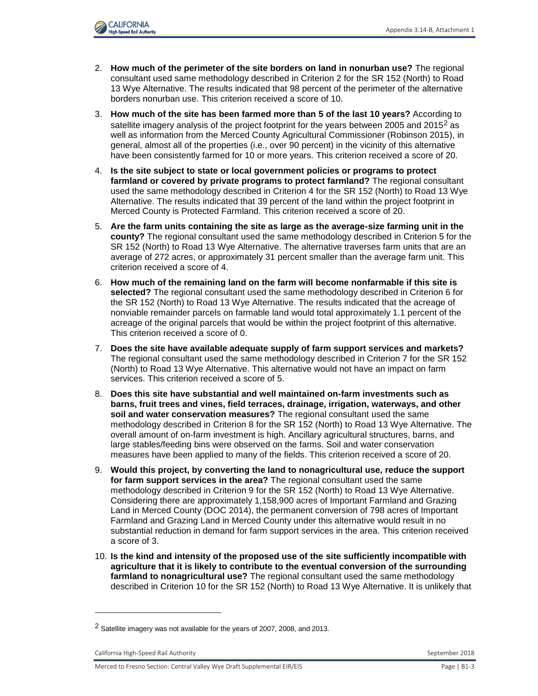

- 2. **How much of the perimeter of the site borders on land in nonurban use?** The regional consultant used same methodology described in Criterion 2 for the SR 152 (North) to Road 13 Wye Alternative. The results indicated that 98 percent of the perimeter of the alternative borders nonurban use. This criterion received a score of 10.
- 3. **How much of the site has been farmed more than 5 of the last 10 years?** According to satellite imagery analysis of the project footprint for the years between 2005 and 2015<sup>2</sup> as well as information from the Merced County Agricultural Commissioner (Robinson 2015), in general, almost all of the properties (i.e., over 90 percent) in the vicinity of this alternative have been consistently farmed for 10 or more years. This criterion received a score of 20.
- 4. **Is the site subject to state or local government policies or programs to protect farmland or covered by private programs to protect farmland?** The regional consultant used the same methodology described in Criterion 4 for the SR 152 (North) to Road 13 Wye Alternative. The results indicated that 39 percent of the land within the project footprint in Merced County is Protected Farmland. This criterion received a score of 20.
- 5. **Are the farm units containing the site as large as the average-size farming unit in the county?** The regional consultant used the same methodology described in Criterion 5 for the SR 152 (North) to Road 13 Wye Alternative. The alternative traverses farm units that are an average of 272 acres, or approximately 31 percent smaller than the average farm unit. This criterion received a score of 4.
- 6. **How much of the remaining land on the farm will become nonfarmable if this site is selected?** The regional consultant used the same methodology described in Criterion 6 for the SR 152 (North) to Road 13 Wye Alternative. The results indicated that the acreage of nonviable remainder parcels on farmable land would total approximately 1.1 percent of the acreage of the original parcels that would be within the project footprint of this alternative. This criterion received a score of 0.
- 7. **Does the site have available adequate supply of farm support services and markets?** The regional consultant used the same methodology described in Criterion 7 for the SR 152 (North) to Road 13 Wye Alternative. This alternative would not have an impact on farm services. This criterion received a score of 5.
- 8. **Does this site have substantial and well maintained on-farm investments such as barns, fruit trees and vines, field terraces, drainage, irrigation, waterways, and other soil and water conservation measures?** The regional consultant used the same methodology described in Criterion 8 for the SR 152 (North) to Road 13 Wye Alternative. The overall amount of on-farm investment is high. Ancillary agricultural structures, barns, and large stables/feeding bins were observed on the farms. Soil and water conservation measures have been applied to many of the fields. This criterion received a score of 20.
- 9. **Would this project, by converting the land to nonagricultural use, reduce the support for farm support services in the area?** The regional consultant used the same methodology described in Criterion 9 for the SR 152 (North) to Road 13 Wye Alternative. Considering there are approximately 1,158,900 acres of Important Farmland and Grazing Land in Merced County (DOC 2014), the permanent conversion of 798 acres of Important Farmland and Grazing Land in Merced County under this alternative would result in no substantial reduction in demand for farm support services in the area. This criterion received a score of 3.
- 10. **Is the kind and intensity of the proposed use of the site sufficiently incompatible with agriculture that it is likely to contribute to the eventual conversion of the surrounding farmland to nonagricultural use?** The regional consultant used the same methodology described in Criterion 10 for the SR 152 (North) to Road 13 Wye Alternative. It is unlikely that

l

<sup>&</sup>lt;sup>2</sup> Satellite imagery was not available for the years of 2007, 2008, and 2013.

California High-Speed Rail Authority September 2018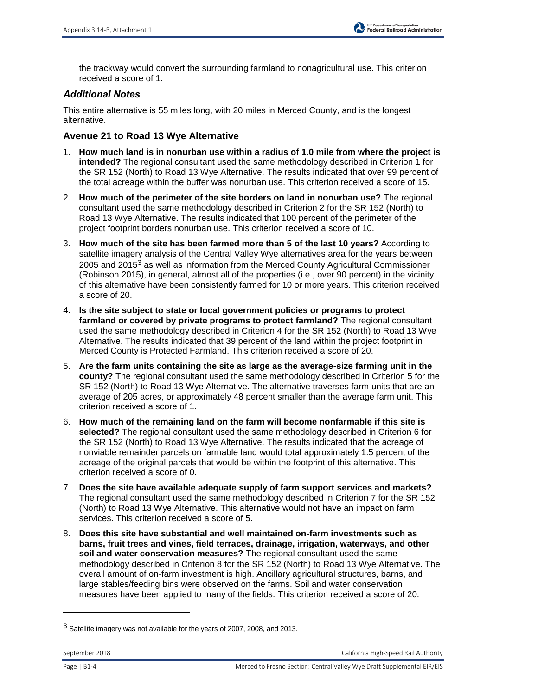the trackway would convert the surrounding farmland to nonagricultural use. This criterion received a score of 1.

## *Additional Notes*

This entire alternative is 55 miles long, with 20 miles in Merced County, and is the longest alternative.

### **Avenue 21 to Road 13 Wye Alternative**

- 1. **How much land is in nonurban use within a radius of 1.0 mile from where the project is intended?** The regional consultant used the same methodology described in Criterion 1 for the SR 152 (North) to Road 13 Wye Alternative. The results indicated that over 99 percent of the total acreage within the buffer was nonurban use. This criterion received a score of 15.
- 2. **How much of the perimeter of the site borders on land in nonurban use?** The regional consultant used the same methodology described in Criterion 2 for the SR 152 (North) to Road 13 Wye Alternative. The results indicated that 100 percent of the perimeter of the project footprint borders nonurban use. This criterion received a score of 10.
- 3. **How much of the site has been farmed more than 5 of the last 10 years?** According to satellite imagery analysis of the Central Valley Wye alternatives area for the years between 2005 and 2015<sup>3</sup> as well as information from the Merced County Agricultural Commissioner (Robinson 2015), in general, almost all of the properties (i.e., over 90 percent) in the vicinity of this alternative have been consistently farmed for 10 or more years. This criterion received a score of 20.
- 4. **Is the site subject to state or local government policies or programs to protect farmland or covered by private programs to protect farmland?** The regional consultant used the same methodology described in Criterion 4 for the SR 152 (North) to Road 13 Wye Alternative. The results indicated that 39 percent of the land within the project footprint in Merced County is Protected Farmland. This criterion received a score of 20.
- 5. **Are the farm units containing the site as large as the average-size farming unit in the county?** The regional consultant used the same methodology described in Criterion 5 for the SR 152 (North) to Road 13 Wye Alternative. The alternative traverses farm units that are an average of 205 acres, or approximately 48 percent smaller than the average farm unit. This criterion received a score of 1.
- 6. **How much of the remaining land on the farm will become nonfarmable if this site is selected?** The regional consultant used the same methodology described in Criterion 6 for the SR 152 (North) to Road 13 Wye Alternative. The results indicated that the acreage of nonviable remainder parcels on farmable land would total approximately 1.5 percent of the acreage of the original parcels that would be within the footprint of this alternative. This criterion received a score of 0.
- 7. **Does the site have available adequate supply of farm support services and markets?** The regional consultant used the same methodology described in Criterion 7 for the SR 152 (North) to Road 13 Wye Alternative. This alternative would not have an impact on farm services. This criterion received a score of 5.
- 8. **Does this site have substantial and well maintained on-farm investments such as barns, fruit trees and vines, field terraces, drainage, irrigation, waterways, and other soil and water conservation measures?** The regional consultant used the same methodology described in Criterion 8 for the SR 152 (North) to Road 13 Wye Alternative. The overall amount of on-farm investment is high. Ancillary agricultural structures, barns, and large stables/feeding bins were observed on the farms. Soil and water conservation measures have been applied to many of the fields. This criterion received a score of 20.

l

<sup>3</sup> Satellite imagery was not available for the years of 2007, 2008, and 2013.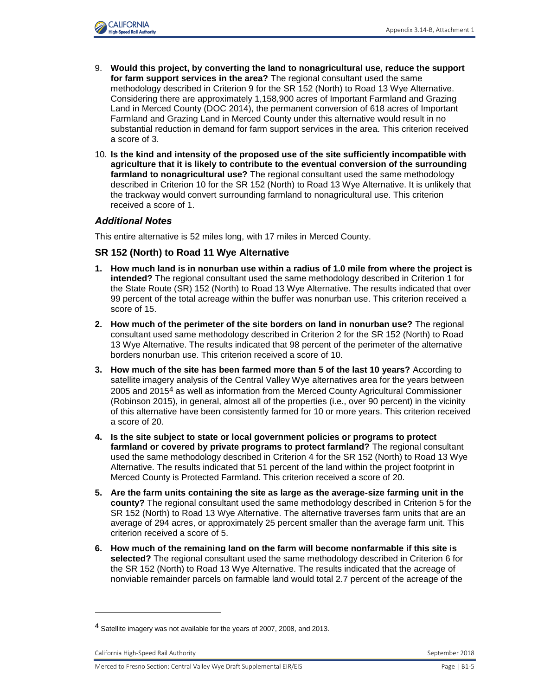

- 9. **Would this project, by converting the land to nonagricultural use, reduce the support for farm support services in the area?** The regional consultant used the same methodology described in Criterion 9 for the SR 152 (North) to Road 13 Wye Alternative. Considering there are approximately 1,158,900 acres of Important Farmland and Grazing Land in Merced County (DOC 2014), the permanent conversion of 618 acres of Important Farmland and Grazing Land in Merced County under this alternative would result in no substantial reduction in demand for farm support services in the area. This criterion received a score of 3.
- 10. **Is the kind and intensity of the proposed use of the site sufficiently incompatible with agriculture that it is likely to contribute to the eventual conversion of the surrounding farmland to nonagricultural use?** The regional consultant used the same methodology described in Criterion 10 for the SR 152 (North) to Road 13 Wye Alternative. It is unlikely that the trackway would convert surrounding farmland to nonagricultural use. This criterion received a score of 1.

#### *Additional Notes*

This entire alternative is 52 miles long, with 17 miles in Merced County.

#### **SR 152 (North) to Road 11 Wye Alternative**

- **1. How much land is in nonurban use within a radius of 1.0 mile from where the project is intended?** The regional consultant used the same methodology described in Criterion 1 for the State Route (SR) 152 (North) to Road 13 Wye Alternative. The results indicated that over 99 percent of the total acreage within the buffer was nonurban use. This criterion received a score of 15.
- **2. How much of the perimeter of the site borders on land in nonurban use?** The regional consultant used same methodology described in Criterion 2 for the SR 152 (North) to Road 13 Wye Alternative. The results indicated that 98 percent of the perimeter of the alternative borders nonurban use. This criterion received a score of 10.
- **3. How much of the site has been farmed more than 5 of the last 10 years?** According to satellite imagery analysis of the Central Valley Wye alternatives area for the years between 2005 and 2015<sup>4</sup> as well as information from the Merced County Agricultural Commissioner (Robinson 2015), in general, almost all of the properties (i.e., over 90 percent) in the vicinity of this alternative have been consistently farmed for 10 or more years. This criterion received a score of 20.
- **4. Is the site subject to state or local government policies or programs to protect farmland or covered by private programs to protect farmland?** The regional consultant used the same methodology described in Criterion 4 for the SR 152 (North) to Road 13 Wye Alternative. The results indicated that 51 percent of the land within the project footprint in Merced County is Protected Farmland. This criterion received a score of 20.
- **5. Are the farm units containing the site as large as the average-size farming unit in the county?** The regional consultant used the same methodology described in Criterion 5 for the SR 152 (North) to Road 13 Wye Alternative. The alternative traverses farm units that are an average of 294 acres, or approximately 25 percent smaller than the average farm unit. This criterion received a score of 5.
- **6. How much of the remaining land on the farm will become nonfarmable if this site is selected?** The regional consultant used the same methodology described in Criterion 6 for the SR 152 (North) to Road 13 Wye Alternative. The results indicated that the acreage of nonviable remainder parcels on farmable land would total 2.7 percent of the acreage of the

l

<sup>&</sup>lt;sup>4</sup> Satellite imagery was not available for the years of 2007, 2008, and 2013.

California High-Speed Rail Authority September 2018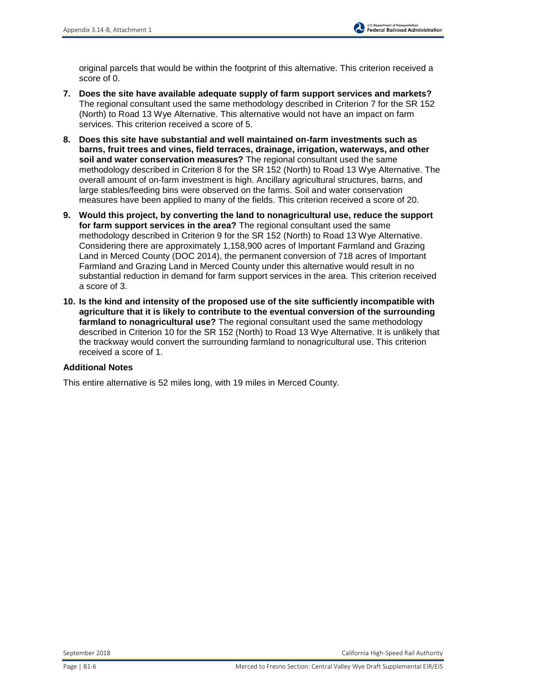original parcels that would be within the footprint of this alternative. This criterion received a score of 0.

- **7. Does the site have available adequate supply of farm support services and markets?** The regional consultant used the same methodology described in Criterion 7 for the SR 152 (North) to Road 13 Wye Alternative. This alternative would not have an impact on farm services. This criterion received a score of 5.
- **8. Does this site have substantial and well maintained on-farm investments such as barns, fruit trees and vines, field terraces, drainage, irrigation, waterways, and other soil and water conservation measures?** The regional consultant used the same methodology described in Criterion 8 for the SR 152 (North) to Road 13 Wye Alternative. The overall amount of on-farm investment is high. Ancillary agricultural structures, barns, and large stables/feeding bins were observed on the farms. Soil and water conservation measures have been applied to many of the fields. This criterion received a score of 20.
- **9. Would this project, by converting the land to nonagricultural use, reduce the support for farm support services in the area?** The regional consultant used the same methodology described in Criterion 9 for the SR 152 (North) to Road 13 Wye Alternative. Considering there are approximately 1,158,900 acres of Important Farmland and Grazing Land in Merced County (DOC 2014), the permanent conversion of 718 acres of Important Farmland and Grazing Land in Merced County under this alternative would result in no substantial reduction in demand for farm support services in the area. This criterion received a score of 3.
- **10. Is the kind and intensity of the proposed use of the site sufficiently incompatible with agriculture that it is likely to contribute to the eventual conversion of the surrounding farmland to nonagricultural use?** The regional consultant used the same methodology described in Criterion 10 for the SR 152 (North) to Road 13 Wye Alternative. It is unlikely that the trackway would convert the surrounding farmland to nonagricultural use. This criterion received a score of 1.

#### **Additional Notes**

This entire alternative is 52 miles long, with 19 miles in Merced County.